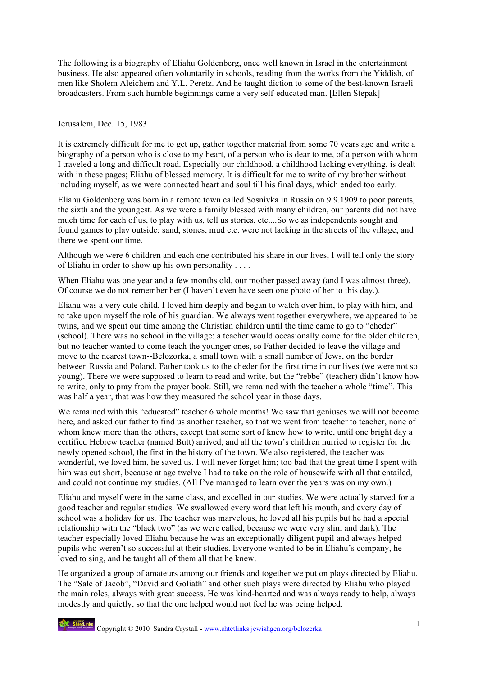The following is a biography of Eliahu Goldenberg, once well known in Israel in the entertainment business. He also appeared often voluntarily in schools, reading from the works from the Yiddish, of men like Sholem Aleichem and Y.L. Peretz. And he taught diction to some of the best-known Israeli broadcasters. From such humble beginnings came a very self-educated man. [Ellen Stepak]

## Jerusalem, Dec. 15, 1983

It is extremely difficult for me to get up, gather together material from some 70 years ago and write a biography of a person who is close to my heart, of a person who is dear to me, of a person with whom I traveled a long and difficult road. Especially our childhood, a childhood lacking everything, is dealt with in these pages; Eliahu of blessed memory. It is difficult for me to write of my brother without including myself, as we were connected heart and soul till his final days, which ended too early.

Eliahu Goldenberg was born in a remote town called Sosnivka in Russia on 9.9.1909 to poor parents, the sixth and the youngest. As we were a family blessed with many children, our parents did not have much time for each of us, to play with us, tell us stories, etc....So we as independents sought and found games to play outside: sand, stones, mud etc. were not lacking in the streets of the village, and there we spent our time.

Although we were 6 children and each one contributed his share in our lives, I will tell only the story of Eliahu in order to show up his own personality . . . .

When Eliahu was one year and a few months old, our mother passed away (and I was almost three). Of course we do not remember her (I haven't even have seen one photo of her to this day.).

Eliahu was a very cute child, I loved him deeply and began to watch over him, to play with him, and to take upon myself the role of his guardian. We always went together everywhere, we appeared to be twins, and we spent our time among the Christian children until the time came to go to "cheder" (school). There was no school in the village: a teacher would occasionally come for the older children, but no teacher wanted to come teach the younger ones, so Father decided to leave the village and move to the nearest town--Belozorka, a small town with a small number of Jews, on the border between Russia and Poland. Father took us to the cheder for the first time in our lives (we were not so young). There we were supposed to learn to read and write, but the "rebbe" (teacher) didn't know how to write, only to pray from the prayer book. Still, we remained with the teacher a whole "time". This was half a year, that was how they measured the school year in those days.

We remained with this "educated" teacher 6 whole months! We saw that geniuses we will not become here, and asked our father to find us another teacher, so that we went from teacher to teacher, none of whom knew more than the others, except that some sort of knew how to write, until one bright day a certified Hebrew teacher (named Butt) arrived, and all the town's children hurried to register for the newly opened school, the first in the history of the town. We also registered, the teacher was wonderful, we loved him, he saved us. I will never forget him; too bad that the great time I spent with him was cut short, because at age twelve I had to take on the role of housewife with all that entailed, and could not continue my studies. (All I've managed to learn over the years was on my own.)

Eliahu and myself were in the same class, and excelled in our studies. We were actually starved for a good teacher and regular studies. We swallowed every word that left his mouth, and every day of school was a holiday for us. The teacher was marvelous, he loved all his pupils but he had a special relationship with the "black two" (as we were called, because we were very slim and dark). The teacher especially loved Eliahu because he was an exceptionally diligent pupil and always helped pupils who weren't so successful at their studies. Everyone wanted to be in Eliahu's company, he loved to sing, and he taught all of them all that he knew.

He organized a group of amateurs among our friends and together we put on plays directed by Eliahu. The "Sale of Jacob", "David and Goliath" and other such plays were directed by Eliahu who played the main roles, always with great success. He was kind-hearted and was always ready to help, always modestly and quietly, so that the one helped would not feel he was being helped.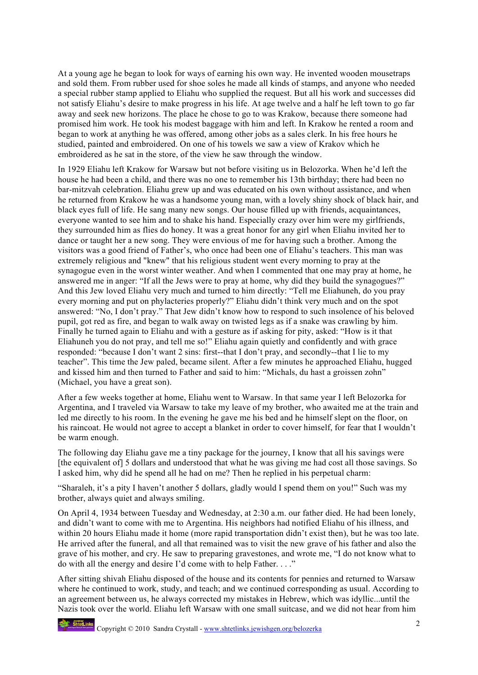At a young age he began to look for ways of earning his own way. He invented wooden mousetraps and sold them. From rubber used for shoe soles he made all kinds of stamps, and anyone who needed a special rubber stamp applied to Eliahu who supplied the request. But all his work and successes did not satisfy Eliahu's desire to make progress in his life. At age twelve and a half he left town to go far away and seek new horizons. The place he chose to go to was Krakow, because there someone had promised him work. He took his modest baggage with him and left. In Krakow he rented a room and began to work at anything he was offered, among other jobs as a sales clerk. In his free hours he studied, painted and embroidered. On one of his towels we saw a view of Krakov which he embroidered as he sat in the store, of the view he saw through the window.

In 1929 Eliahu left Krakow for Warsaw but not before visiting us in Belozorka. When he'd left the house he had been a child, and there was no one to remember his 13th birthday; there had been no bar-mitzvah celebration. Eliahu grew up and was educated on his own without assistance, and when he returned from Krakow he was a handsome young man, with a lovely shiny shock of black hair, and black eyes full of life. He sang many new songs. Our house filled up with friends, acquaintances, everyone wanted to see him and to shake his hand. Especially crazy over him were my girlfriends, they surrounded him as flies do honey. It was a great honor for any girl when Eliahu invited her to dance or taught her a new song. They were envious of me for having such a brother. Among the visitors was a good friend of Father's, who once had been one of Eliahu's teachers. This man was extremely religious and "knew" that his religious student went every morning to pray at the synagogue even in the worst winter weather. And when I commented that one may pray at home, he answered me in anger: "If all the Jews were to pray at home, why did they build the synagogues?" And this Jew loved Eliahu very much and turned to him directly: "Tell me Eliahuneh, do you pray every morning and put on phylacteries properly?" Eliahu didn't think very much and on the spot answered: "No, I don't pray." That Jew didn't know how to respond to such insolence of his beloved pupil, got red as fire, and began to walk away on twisted legs as if a snake was crawling by him. Finally he turned again to Eliahu and with a gesture as if asking for pity, asked: "How is it that Eliahuneh you do not pray, and tell me so!" Eliahu again quietly and confidently and with grace responded: "because I don't want 2 sins: first--that I don't pray, and secondly--that I lie to my teacher". This time the Jew paled, became silent. After a few minutes he approached Eliahu, hugged and kissed him and then turned to Father and said to him: "Michals, du hast a groissen zohn" (Michael, you have a great son).

After a few weeks together at home, Eliahu went to Warsaw. In that same year I left Belozorka for Argentina, and I traveled via Warsaw to take my leave of my brother, who awaited me at the train and led me directly to his room. In the evening he gave me his bed and he himself slept on the floor, on his raincoat. He would not agree to accept a blanket in order to cover himself, for fear that I wouldn't be warm enough.

The following day Eliahu gave me a tiny package for the journey, I know that all his savings were [the equivalent of] 5 dollars and understood that what he was giving me had cost all those savings. So I asked him, why did he spend all he had on me? Then he replied in his perpetual charm:

"Sharaleh, it's a pity I haven't another 5 dollars, gladly would I spend them on you!" Such was my brother, always quiet and always smiling.

On April 4, 1934 between Tuesday and Wednesday, at 2:30 a.m. our father died. He had been lonely, and didn't want to come with me to Argentina. His neighbors had notified Eliahu of his illness, and within 20 hours Eliahu made it home (more rapid transportation didn't exist then), but he was too late. He arrived after the funeral, and all that remained was to visit the new grave of his father and also the grave of his mother, and cry. He saw to preparing gravestones, and wrote me, "I do not know what to do with all the energy and desire I'd come with to help Father. . . ."

After sitting shivah Eliahu disposed of the house and its contents for pennies and returned to Warsaw where he continued to work, study, and teach; and we continued corresponding as usual. According to an agreement between us, he always corrected my mistakes in Hebrew, which was idyllic...until the Nazis took over the world. Eliahu left Warsaw with one small suitcase, and we did not hear from him

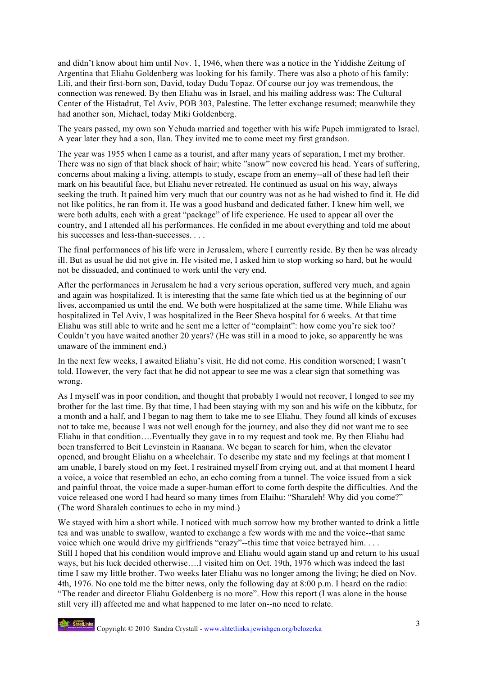and didn't know about him until Nov. 1, 1946, when there was a notice in the Yiddishe Zeitung of Argentina that Eliahu Goldenberg was looking for his family. There was also a photo of his family: Lili, and their first-born son, David, today Dudu Topaz. Of course our joy was tremendous, the connection was renewed. By then Eliahu was in Israel, and his mailing address was: The Cultural Center of the Histadrut, Tel Aviv, POB 303, Palestine. The letter exchange resumed; meanwhile they had another son, Michael, today Miki Goldenberg.

The years passed, my own son Yehuda married and together with his wife Pupeh immigrated to Israel. A year later they had a son, Ilan. They invited me to come meet my first grandson.

The year was 1955 when I came as a tourist, and after many years of separation, I met my brother. There was no sign of that black shock of hair; white "snow" now covered his head. Years of suffering, concerns about making a living, attempts to study, escape from an enemy--all of these had left their mark on his beautiful face, but Eliahu never retreated. He continued as usual on his way, always seeking the truth. It pained him very much that our country was not as he had wished to find it. He did not like politics, he ran from it. He was a good husband and dedicated father. I knew him well, we were both adults, each with a great "package" of life experience. He used to appear all over the country, and I attended all his performances. He confided in me about everything and told me about his successes and less-than-successes. . . .

The final performances of his life were in Jerusalem, where I currently reside. By then he was already ill. But as usual he did not give in. He visited me, I asked him to stop working so hard, but he would not be dissuaded, and continued to work until the very end.

After the performances in Jerusalem he had a very serious operation, suffered very much, and again and again was hospitalized. It is interesting that the same fate which tied us at the beginning of our lives, accompanied us until the end. We both were hospitalized at the same time. While Eliahu was hospitalized in Tel Aviv, I was hospitalized in the Beer Sheva hospital for 6 weeks. At that time Eliahu was still able to write and he sent me a letter of "complaint": how come you're sick too? Couldn't you have waited another 20 years? (He was still in a mood to joke, so apparently he was unaware of the imminent end.)

In the next few weeks, I awaited Eliahu's visit. He did not come. His condition worsened; I wasn't told. However, the very fact that he did not appear to see me was a clear sign that something was wrong.

As I myself was in poor condition, and thought that probably I would not recover, I longed to see my brother for the last time. By that time, I had been staying with my son and his wife on the kibbutz, for a month and a half, and I began to nag them to take me to see Eliahu. They found all kinds of excuses not to take me, because I was not well enough for the journey, and also they did not want me to see Eliahu in that condition….Eventually they gave in to my request and took me. By then Eliahu had been transferred to Beit Levinstein in Raanana. We began to search for him, when the elevator opened, and brought Eliahu on a wheelchair. To describe my state and my feelings at that moment I am unable, I barely stood on my feet. I restrained myself from crying out, and at that moment I heard a voice, a voice that resembled an echo, an echo coming from a tunnel. The voice issued from a sick and painful throat, the voice made a super-human effort to come forth despite the difficulties. And the voice released one word I had heard so many times from Elaihu: "Sharaleh! Why did you come?" (The word Sharaleh continues to echo in my mind.)

We stayed with him a short while. I noticed with much sorrow how my brother wanted to drink a little tea and was unable to swallow, wanted to exchange a few words with me and the voice--that same voice which one would drive my girlfriends "crazy"--this time that voice betrayed him. . . . Still I hoped that his condition would improve and Eliahu would again stand up and return to his usual ways, but his luck decided otherwise….I visited him on Oct. 19th, 1976 which was indeed the last time I saw my little brother. Two weeks later Eliahu was no longer among the living; he died on Nov. 4th, 1976. No one told me the bitter news, only the following day at 8:00 p.m. I heard on the radio: "The reader and director Eliahu Goldenberg is no more". How this report (I was alone in the house still very ill) affected me and what happened to me later on--no need to relate.